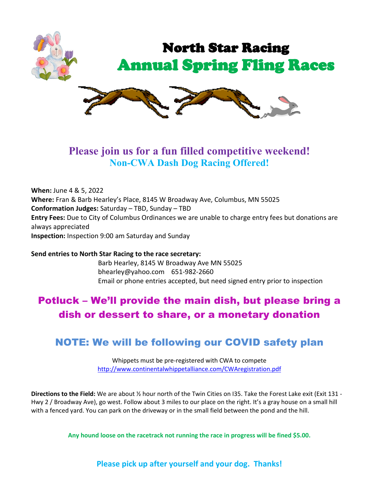

# **Please join us for a fun filled competitive weekend! Non-CWA Dash Dog Racing Offered!**

**When:** June 4 & 5, 2022 **Where:** Fran & Barb Hearley's Place, 8145 W Broadway Ave, Columbus, MN 55025 **Conformation Judges:** Saturday – TBD, Sunday – TBD **Entry Fees:** Due to City of Columbus Ordinances we are unable to charge entry fees but donations are always appreciated **Inspection:** Inspection 9:00 am Saturday and Sunday

**Send entries to North Star Racing to the race secretary:** Barb Hearley, 8145 W Broadway Ave MN 55025 bhearley@yahoo.com 651-982-2660 Email or phone entries accepted, but need signed entry prior to inspection

# Potluck – We'll provide the main dish, but please bring a dish or dessert to share, or a monetary donation

# NOTE: We will be following our COVID safety plan

Whippets must be pre-registered with CWA to compete <http://www.continentalwhippetalliance.com/CWAregistration.pdf>

**Directions to the Field:** We are about ½ hour north of the Twin Cities on I35. Take the Forest Lake exit (Exit 131 - Hwy 2 / Broadway Ave), go west. Follow about 3 miles to our place on the right. It's a gray house on a small hill with a fenced yard. You can park on the driveway or in the small field between the pond and the hill.

**Any hound loose on the racetrack not running the race in progress will be fined \$5.00.**

**Please pick up after yourself and your dog. Thanks!**